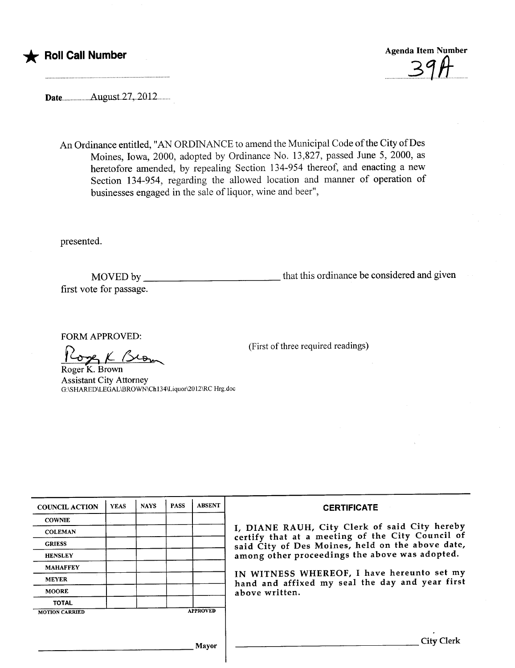

Dateu..u...u..uu..August..27,..2012.u......

An Ordinance entitled, "AN ORDINANCE to amend the Municipal Code of the City of Des Moines, Iowa, 2000, adopted by Ordinance No. 13,827, passed June 5, 2000, as heretofore amended, by repealing Section 134-954 thereof, and enacting a new Section 134-954, regarding the allowed location and manner of operation of businesses engaged in the sale of liquor, wine and beer",

presented.

MOVED by that this ordinance be considered and given first vote for passage.

(First of three required readings)

FORM APPROVED:

over K Brom

Roger K. Brown Assistant City Attorney G:\SHARD\LEGAL\BROWNCh 134\Liquor\20 12\RC Hrg.doc

| <b>COUNCIL ACTION</b> | <b>YEAS</b> | <b>NAYS</b> | <b>PASS</b> | <b>ABSENT</b>   | <b>CERTIFICATE</b>                                                                                |
|-----------------------|-------------|-------------|-------------|-----------------|---------------------------------------------------------------------------------------------------|
| <b>COWNIE</b>         |             |             |             |                 |                                                                                                   |
| <b>COLEMAN</b>        |             |             |             |                 | I, DIANE RAUH, City Clerk of said City hereby<br>certify that at a meeting of the City Council of |
| <b>GRIESS</b>         |             |             |             |                 | said City of Des Moines, held on the above date,                                                  |
| <b>HENSLEY</b>        |             |             |             |                 | among other proceedings the above was adopted.                                                    |
| <b>MAHAFFEY</b>       |             |             |             |                 |                                                                                                   |
| <b>MEYER</b>          |             |             |             |                 | IN WITNESS WHEREOF, I have hereunto set my<br>hand and affixed my seal the day and year first     |
| <b>MOORE</b>          |             |             |             |                 | above written.                                                                                    |
| <b>TOTAL</b>          |             |             |             |                 |                                                                                                   |
| <b>MOTION CARRIED</b> |             |             |             | <b>APPROVED</b> |                                                                                                   |
|                       |             |             |             |                 |                                                                                                   |
|                       |             |             |             |                 |                                                                                                   |
|                       |             |             |             | Mayor           | City Clerk                                                                                        |
|                       |             |             |             |                 |                                                                                                   |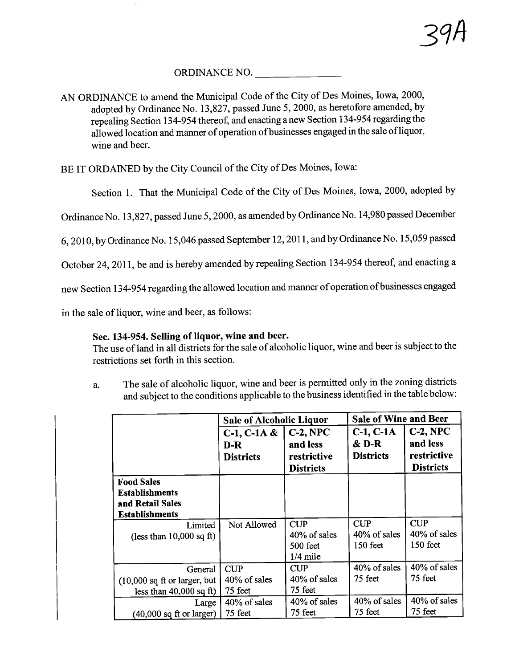## ORDINANCE NO.

AN ORDINANCE to amend the Municipal Code of the City of Des Moines, Iowa, 2000, adopted by Ordinance No. 13,827, passed June 5, 2000, as heretofore amended, by repealing Section i 34-954 thereof, and enacting a new Section i 34-954 regarding the allowed location and maner of operation of businesses engaged in the sale ofliquor, wine and beer.

BE IT ORDAINED by the City Council of the City of Des Moines, Iowa:

Section i. That the Municipal Code of the City of Des Moines, Iowa, 2000, adopted by

Ordinance No. 13,827, passed June 5, 2000, as amended by Ordinance No. 14,980 passed December

6,2010, by Ordinance No. 15,046 passed September 12, 201 1, and by Ordinance No. 15,059 passed

October 24, 2011, be and is hereby amended by repealing Section 134-954 thereof, and enacting a

new Section 134-954 regarding the allowed location and manner of operation of businesses engaged

in the sale of liquor, wine and beer, as follows:

## Sec. 134-954. Selling of liquor, wine and beer.

The use of land in all districts for the sale of alcoholic liquor, wine and beer is subject to the restrictions set forth in this section.

a. The sale of alcoholic liquor, wine and beer is permitted only in the zoning districts and subject to the conditions applicable to the business identified in the table below:

|                                         | <b>Sale of Alcoholic Liquor</b> |                        | <b>Sale of Wine and Beer</b> |                         |
|-----------------------------------------|---------------------------------|------------------------|------------------------------|-------------------------|
|                                         | $C-1$ , $C-1A &$<br>D-R         | $C-2, NPC$<br>and less | $C-1$ , $C-1A$<br>& D-R      | $C-2$ , NPC<br>and less |
|                                         | <b>Districts</b>                | restrictive            | <b>Districts</b>             | restrictive             |
|                                         |                                 | <b>Districts</b>       |                              | <b>Districts</b>        |
| <b>Food Sales</b>                       |                                 |                        |                              |                         |
| <b>Establishments</b>                   |                                 |                        |                              |                         |
| and Retail Sales                        |                                 |                        |                              |                         |
| <b>Establishments</b>                   |                                 |                        |                              |                         |
| Limited                                 | Not Allowed                     | <b>CUP</b>             | CUP                          | <b>CUP</b>              |
| (less than $10,000$ sq ft)              |                                 | $40\%$ of sales        | 40% of sales                 | 40% of sales            |
|                                         |                                 | 500 feet               | $150$ feet                   | $150$ feet              |
|                                         |                                 | $1/4$ mile             |                              |                         |
| General                                 | <b>CUP</b>                      | <b>CUP</b>             | 40% of sales                 | 40% of sales            |
| $(10,000 \text{ sq ft or larger, but})$ | $40\%$ of sales                 | 40% of sales           | 75 feet                      | 75 feet                 |
| less than $40,000$ sq ft)               | 75 feet                         | 75 feet                |                              |                         |
| Large                                   | 40% of sales                    | 40% of sales           | 40% of sales                 | 40% of sales            |
| $(40,000 \text{ sq ft or larger})$      | 75 feet                         | 75 feet                | 75 feet                      | 75 feet                 |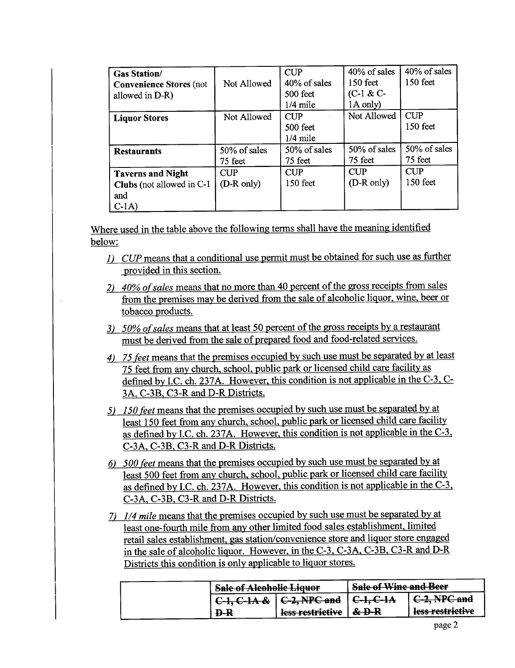| <b>Gas Station/</b><br><b>Convenience Stores (not</b><br>allowed in D-R) | Not Allowed              | CUP<br>40% of sales<br>500 feet<br>$1/4$ mile | 40% of sales<br>$150$ feet<br>$(C-1 & C$<br>1A only) | 40% of sales<br>150 feet |
|--------------------------------------------------------------------------|--------------------------|-----------------------------------------------|------------------------------------------------------|--------------------------|
| <b>Liquor Stores</b>                                                     | Not Allowed              | <b>CUP</b><br>500 feet<br>$1/4$ mile          | Not Allowed                                          | <b>CUP</b><br>150 feet   |
| <b>Restaurants</b>                                                       | 50% of sales<br>75 feet  | 50% of sales<br>75 feet                       | 50% of sales<br>75 feet                              | 50% of sales<br>75 feet  |
| <b>Taverns and Night</b><br>Clubs (not allowed in C-1)<br>and<br>$C-1A$  | <b>CUP</b><br>(D-R only) | CUP<br>150 feet                               | <b>CUP</b><br>(D-R only)                             | <b>CUP</b><br>150 feet   |

Where used in the table above the following terms shall have the meaning identified below:

- 1) CUP means that a conditional use permit must be obtained for such use as further provided in this section.
- 2) 40% of sales means that no more than 40 percent of the gross receipts from sales from the premises may be derived from the sale of alcoholic liquor, wine, beer or tobacco products.
- $3)$  50% of sales means that at least 50 percent of the gross receipts by a restaurant must be derived from the sale of prepared food and food-related services.
- 4) 75 feet means that the premises occupied by such use must be separated by at least 75 feet from any church, school, public park or licensed child care facility as defined by I.C. ch. 237A. However, this condition is not applicable in the  $C-3$ ,  $C-$ 3A. C-3B. C3-R and D-R Districts.
- 5) 150 feet means that the premises occupied by such use must be separated by at least 150 feet from any church, school, public park or licensed child care facility as defined by LC. ch. 237A. However. this condition is not applicable in the C-3. C-3A, C-3B, C3-R and D-R Districts.
- 6) 500 feet means that the premises occupied by such use must be separated by at least 500 feet from any church, school, public park or licensed child care facility as defined by LC. ch. 237A. However. this condition is not applicable in the C-3. C-3A. C-3B. C3-R and D-R Districts.
- 7) 1/4 mile means that the premises occupied by such use must be separated by at least one-fourth mile from any other limited food sales establishment. limited retail sales establishment. gas station/convenience store and liquor store engaged in the sale of alcoholic liquor. However. in the C-3. C-3A. C-3B. C3-R and D-R Districts this condition is only applicable to liquor stores.

| <b>Sale of Alcoholic Liquor</b> |                  | <b>Sale of Wine and Beer</b> |                  |  |
|---------------------------------|------------------|------------------------------|------------------|--|
| $C-1, C-1A &$                   | C-2, NPC and     | $C-1, C-1A$                  | C-2, NPC and     |  |
| <b>D-R</b>                      | less restrictive | $\&$ D-R                     | less restrictive |  |
|                                 |                  |                              |                  |  |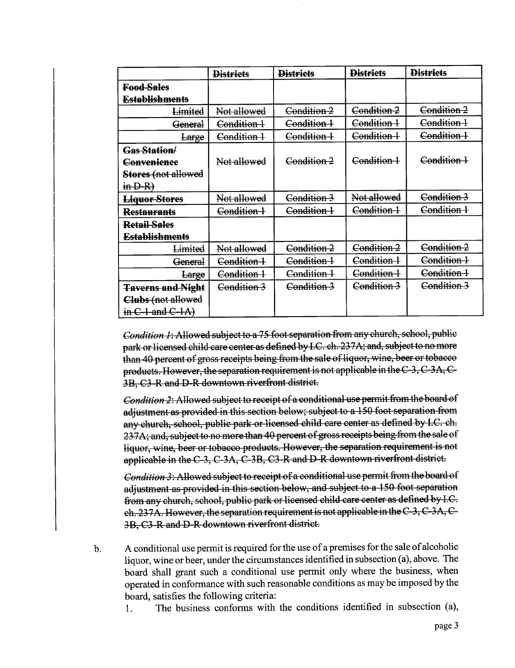|                           | <b>Districts</b>       | <b>Districts</b> | <b>Districts</b> | <b>Districts</b> |
|---------------------------|------------------------|------------------|------------------|------------------|
| <b>Food Sales</b>         |                        |                  |                  |                  |
| <b>Establishments</b>     |                        |                  |                  |                  |
| Limited                   | Not allowed            | Condition 2      | Condition 2      | Condition 2      |
| General                   | <del>Condition 1</del> | Condition 1      | Condition 1      | Condition 1      |
| Large                     | Condition 1            | Condition 1      | Condition 1      | Condition 1      |
| <b>Gas Station/</b>       |                        |                  |                  |                  |
| Convenience               | Not allowed            | Condition 2      | Condition 1      | Condition 1      |
| Stores (not allowed       |                        |                  |                  |                  |
| $\overline{m}$ D-R)       |                        |                  |                  |                  |
| <b>Liquor Stores</b>      | Not allowed            | Condition 3      | Not allowed      | Condition 3      |
| <b>Restaurants</b>        | Condition 1            | Condition 1      | Condition 1      | Condition 1      |
| <b>Retail Sales</b>       |                        |                  |                  |                  |
| <b>Establishments</b>     |                        |                  |                  |                  |
| Limited                   | Not allowed            | Condition 2      | Condition 2      | Condition 2      |
| <del>General</del>        | Condition 1            | Condition 1      | Condition 1      | Condition 1      |
| Large                     | Condition 1            | Condition 1      | Condition 1      | Condition 1      |
| <b>Taverns and Night</b>  | Condition 3            | Condition 3      | Condition 3      | Condition 3      |
| Clubs (not allowed        |                        |                  |                  |                  |
| in $C$ -1 and $C$ -1A $)$ |                        |                  |                  |                  |

Condition 1: Allowed subject to a 75 foot separation from any church, school, public park or licensed child care center as defined by LC. ch. 237 A; and, subject to no more than 40 percent of gross receipts being from the sale of liquor, wine, beer or tobacco products. However, the separation requirement is not applicable in the  $C-3$ ,  $C-3A$ ,  $C-$ 3B, C3-R and D-R downtown riverfront district.

*Condition 2:* Allowed subject to receipt of a conditional use permit from the board of adjustment as provided in this section below; subject to a 150 foot separation from any church, school, public park or licensed child care center as defined by I.C. ch. 237A; and, subject to no more than 40 percent of gross receipts being from the sale of liquor, wine, beer or tobacco products. However, the separation requirement is not applicable in the C-3, C-3A, C-3B, C3-R and D-R downtown riverfront district.

Condition 3: Allowed subject to receipt of a conditional use permit from the board of adjustment as proyided in this section below, and subject to a 150 foot separation from any church, school, public park or licensed child care center as defined by I.C. ch. 237A. However, the separation requirement is not applicable in the  $C_3$ ,  $C_3A$ ,  $C_1$ 3B, C3-R and D-R downtown riverfront district.

b. A conditional use permit is required for the use of a premises for the sale of alcoholic liquor, wine or beer, under the circumstances identified in subsection (a), above. The board shall grant such a conditional use permit only where the business, when operated in conformance with such reasonable conditions as may be imposed by the board, satisfies the following criteria:

1. The business conforms with the conditions identified in subsection (a),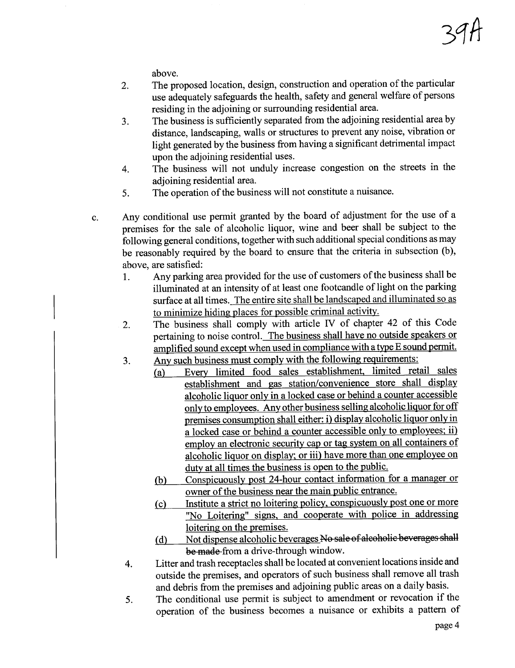above.

- 2. The proposed location, design, construction and operation of the particular use adequately safeguards the health, safety and general welfare of persons residing in the adjoining or surrounding residential area.
- 3. The business is sufficiently separated from the adjoining residential area by distance, landscaping, walls or structures to prevent any noise, vibration or light generated by the business from having a significant detrimental impact upon the adjoining residential uses.
- 4. The business will not unduly increase congestion on the streets in the adjoining residential area.
- 5. The operation of the business will not constitute a nuisance.
- c. Any conditional use permit granted by the board of adjustment for the use of a premises for the sale of alcoholic liquor, wine and beer shall be subject to the following general conditions, together with such additional special conditions as may be reasonably required by the board to ensure that the criteria in subsection (b), above, are satisfied:
	- 1. Any parking area provided for the use of customers of the business shall be iluminated at an intensity of at least one footcandle of light on the parking surface at all times. The entire site shall be landscaped and iluminated so as to minimize hiding places for possible criminal activity.
	- 2. The business shall comply with aricle IV of chapter 42 of this Code pertaining to noise control. The business shall have no outside speakers or amplified sound except when used in compliance with a type E sound permit.
	- 3. Any such business must comply with the following requirements:
		- (a) Every limited food sales establishment. limited retail sales establishment and gas station/convenience store shall display alcoholic liquor only in a locked case or behind a counter accessible only to employees. Any other business selling alcoholic liquor for off premises consumption shall either: i) display alcoholic liquor only in a locked case or behind a counter accessible only to employees; ii) employ an electronic security cap or tag system on all containers of alcoholic liquor on display; or iii) have more than one employee on duty at all times the business is open to the public.
			- (b) Conspicuously post 24-hour contact information for a manager or owner of the business near the main public entrance.<br>Institute a strict no loitering policy, conspicuously post one or more
			- The Constitution of the contemplation policy. Complemently post one or more in the police in addressing the contemplation of the contemplation of the contemplation of the contemplation of the contemplation of the contempla loitering on the premises.
			- (d) Not dispense alcoholic beverages No sale of alcoholic beverages shall be made from a drive-through window.
	- 4. Litter and trash receptacles shall be located at convenient locations inside and outside the premises, and operators of such business shall remove all trash and debris from the premises and adjoining public areas on a daily basis.
	- 5. The conditional use permit is subject to amendment or revocation if the operation of the business becomes a nuisance or exhibits a pattern of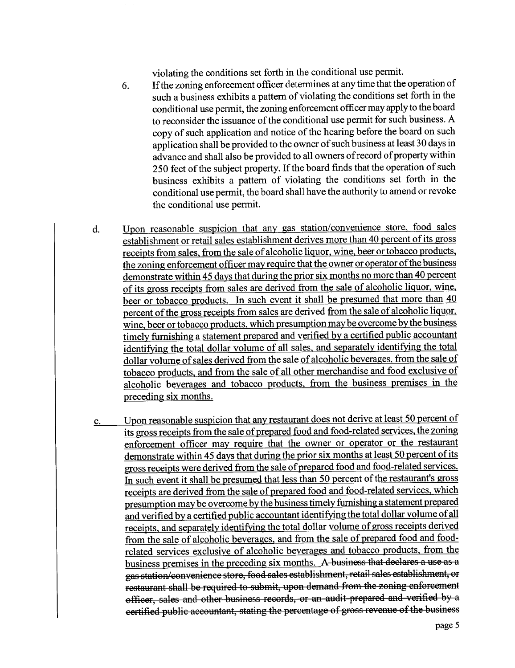violating the conditions set forth in the conditional use permit.

- 6. If the zoning enforcement officer determines at any time that the operation of such a business exhibits a pattern of violating the conditions set forth in the conditional use permit, the zoning enforcement officer may apply to the board to reconsider the issuance of the conditional use permit for such business. A copy of such application and notice of the hearing before the board on such application shall be provided to the owner of such business at least 30 days in advance and shall also be provided to all owners of record of property within 250 feet of the subject property. If the board finds that the operation of such business exhibits a pattern of violating the conditions set forth in the conditional use permit, the board shall have the authority to amend or revoke the conditional use permit.
- d. Upon reasonable suspicion that any gas station/convenience store. food sales establishment or retail sales establishment derives more than 40 percent of its gross receipts from sales. from the sale of alcoholic liquor. wine. beer or tobacco products. the zoning enforcement officer may require that the owner or operator of the business demonstrate within 45 days that during the prior six months no more than 40 percent of its gross receipts from sales are derived from the sale of alcoholic liquor, wine, beer or tobacco products. In such event it shall be presumed that more than 40 percent of the gross receipts from sales are derived from the sale of alcoholic liquor. wine, beer or tobacco products, which presumption may be overcome by the business timely furnishing a statement prepared and verified by a certified public accountant identifying the total dollar volume of all sales, and separately identifying the total dollar volume of sales derived from the sale of alcoholic beverages. from the sale of tobacco products. and from the sale of all other merchandise and food exclusive of alcoholic beverages and tobacco products. from the business premises in the preceding six months.
- e. Upon reasonable suspicion that any restaurant does not derive at least 50 percent of its gross receipts from the sale of prepared food and food-related services. the zoning enforcement officer may require that the owner or operator or the restaurant demonstrate within 45 days that during the prior six months at least 50 percent of its gross receipts were derived from the sale of prepared food and food-related services. In such event it shall be presumed that less than 50 percent of the restaurant's gross receipts are derived from the sale of prepared food and food-related services. which presumption may be overcome by the business timely furnishing a statement prepared and verified by a certified public accountant identifying the total dollar volume of all receipts. and separately identifyng the total dollar volume of gross receipts derived from the sale of alcoholic beverages. and from the sale of prepared food and foodrelated services exclusive of alcoholic beverages and tobacco products. from the business premises in the preceding six months. A business that declares a use as a gas station/convenience store, food sales establishment, retail sales establishment, or restaurant shall be required to submit, upon demand from the zoning enforcement officer, sales and other business records, or an audit prepared and verified by a certified public accountant, stating the percentage of gross revenue of the business